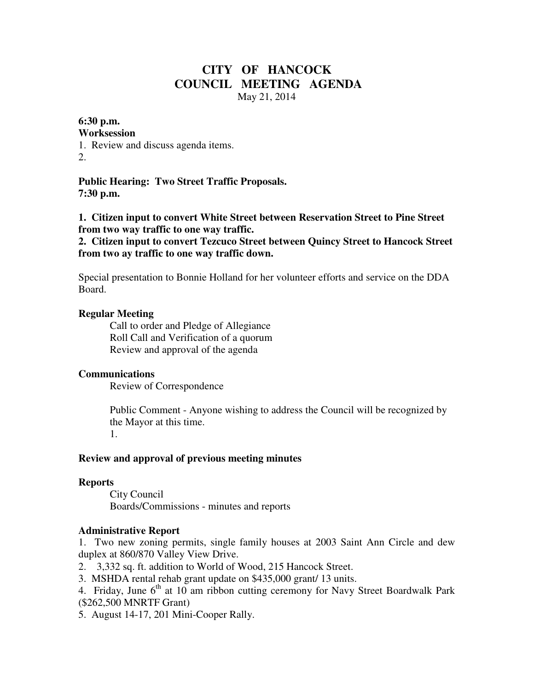# **CITY OF HANCOCK COUNCIL MEETING AGENDA**  May 21, 2014

## **6:30 p.m.**

#### **Worksession**

1. Review and discuss agenda items. 2.

**Public Hearing: Two Street Traffic Proposals. 7:30 p.m.** 

**1. Citizen input to convert White Street between Reservation Street to Pine Street from two way traffic to one way traffic.** 

**2. Citizen input to convert Tezcuco Street between Quincy Street to Hancock Street from two ay traffic to one way traffic down.** 

Special presentation to Bonnie Holland for her volunteer efforts and service on the DDA Board.

#### **Regular Meeting**

 Call to order and Pledge of Allegiance Roll Call and Verification of a quorum Review and approval of the agenda

## **Communications**

Review of Correspondence

 Public Comment - Anyone wishing to address the Council will be recognized by the Mayor at this time. 1.

#### **Review and approval of previous meeting minutes**

#### **Reports**

City Council Boards/Commissions - minutes and reports

#### **Administrative Report**

1. Two new zoning permits, single family houses at 2003 Saint Ann Circle and dew duplex at 860/870 Valley View Drive.

2. 3,332 sq. ft. addition to World of Wood, 215 Hancock Street.

3. MSHDA rental rehab grant update on \$435,000 grant/ 13 units.

4. Friday, June  $6<sup>th</sup>$  at 10 am ribbon cutting ceremony for Navy Street Boardwalk Park (\$262,500 MNRTF Grant)

5. August 14-17, 201 Mini-Cooper Rally.